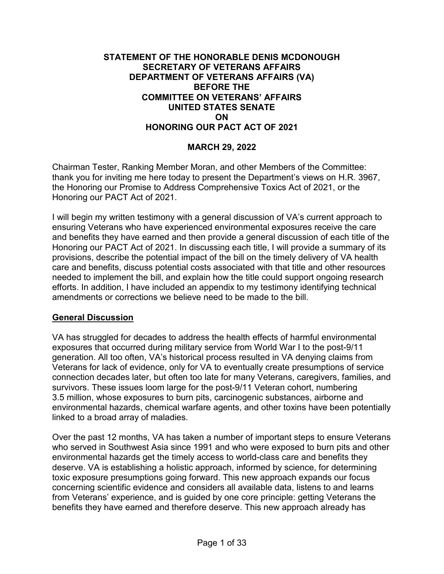## **STATEMENT OF THE HONORABLE DENIS MCDONOUGH SECRETARY OF VETERANS AFFAIRS DEPARTMENT OF VETERANS AFFAIRS (VA) BEFORE THE COMMITTEE ON VETERANS' AFFAIRS UNITED STATES SENATE ON HONORING OUR PACT ACT OF 2021**

## **MARCH 29, 2022**

Chairman Tester, Ranking Member Moran, and other Members of the Committee: thank you for inviting me here today to present the Department's views on H.R. 3967, the Honoring our Promise to Address Comprehensive Toxics Act of 2021, or the Honoring our PACT Act of 2021.

I will begin my written testimony with a general discussion of VA's current approach to ensuring Veterans who have experienced environmental exposures receive the care and benefits they have earned and then provide a general discussion of each title of the Honoring our PACT Act of 2021. In discussing each title, I will provide a summary of its provisions, describe the potential impact of the bill on the timely delivery of VA health care and benefits, discuss potential costs associated with that title and other resources needed to implement the bill, and explain how the title could support ongoing research efforts. In addition, I have included an appendix to my testimony identifying technical amendments or corrections we believe need to be made to the bill.

#### **General Discussion**

VA has struggled for decades to address the health effects of harmful environmental exposures that occurred during military service from World War I to the post-9/11 generation. All too often, VA's historical process resulted in VA denying claims from Veterans for lack of evidence, only for VA to eventually create presumptions of service connection decades later, but often too late for many Veterans, caregivers, families, and survivors. These issues loom large for the post-9/11 Veteran cohort, numbering 3.5 million, whose exposures to burn pits, carcinogenic substances, airborne and environmental hazards, chemical warfare agents, and other toxins have been potentially linked to a broad array of maladies.

Over the past 12 months, VA has taken a number of important steps to ensure Veterans who served in Southwest Asia since 1991 and who were exposed to burn pits and other environmental hazards get the timely access to world-class care and benefits they deserve. VA is establishing a holistic approach, informed by science, for determining toxic exposure presumptions going forward. This new approach expands our focus concerning scientific evidence and considers all available data, listens to and learns from Veterans' experience, and is guided by one core principle: getting Veterans the benefits they have earned and therefore deserve. This new approach already has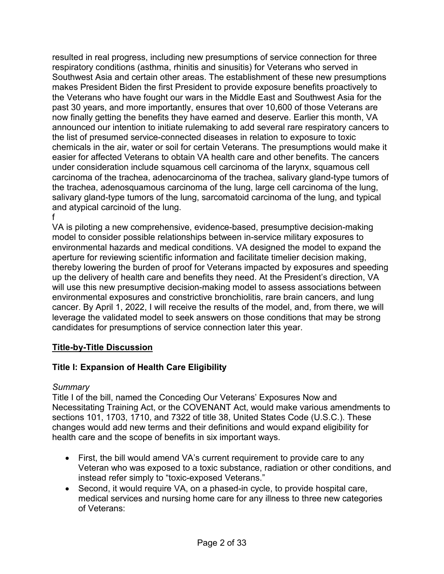resulted in real progress, including new presumptions of service connection for three respiratory conditions (asthma, rhinitis and sinusitis) for Veterans who served in Southwest Asia and certain other areas. The establishment of these new presumptions makes President Biden the first President to provide exposure benefits proactively to the Veterans who have fought our wars in the Middle East and Southwest Asia for the past 30 years, and more importantly, ensures that over 10,600 of those Veterans are now finally getting the benefits they have earned and deserve. Earlier this month, VA announced our intention to initiate rulemaking to add several rare respiratory cancers to the list of presumed service-connected diseases in relation to exposure to toxic chemicals in the air, water or soil for certain Veterans. The presumptions would make it easier for affected Veterans to obtain VA health care and other benefits. The cancers under consideration include squamous cell carcinoma of the larynx, squamous cell carcinoma of the trachea, adenocarcinoma of the trachea, salivary gland-type tumors of the trachea, adenosquamous carcinoma of the lung, large cell carcinoma of the lung, salivary gland-type tumors of the lung, sarcomatoid carcinoma of the lung, and typical and atypical carcinoid of the lung.

f

VA is piloting a new comprehensive, evidence-based, presumptive decision-making model to consider possible relationships between in-service military exposures to environmental hazards and medical conditions. VA designed the model to expand the aperture for reviewing scientific information and facilitate timelier decision making, thereby lowering the burden of proof for Veterans impacted by exposures and speeding up the delivery of health care and benefits they need. At the President's direction, VA will use this new presumptive decision-making model to assess associations between environmental exposures and constrictive bronchiolitis, rare brain cancers, and lung cancer. By April 1, 2022, I will receive the results of the model, and, from there, we will leverage the validated model to seek answers on those conditions that may be strong candidates for presumptions of service connection later this year.

# **Title-by-Title Discussion**

# **Title I: Expansion of Health Care Eligibility**

## *Summary*

Title I of the bill, named the Conceding Our Veterans' Exposures Now and Necessitating Training Act, or the COVENANT Act, would make various amendments to sections 101, 1703, 1710, and 7322 of title 38, United States Code (U.S.C.). These changes would add new terms and their definitions and would expand eligibility for health care and the scope of benefits in six important ways.

- First, the bill would amend VA's current requirement to provide care to any Veteran who was exposed to a toxic substance, radiation or other conditions, and instead refer simply to "toxic-exposed Veterans."
- Second, it would require VA, on a phased-in cycle, to provide hospital care, medical services and nursing home care for any illness to three new categories of Veterans: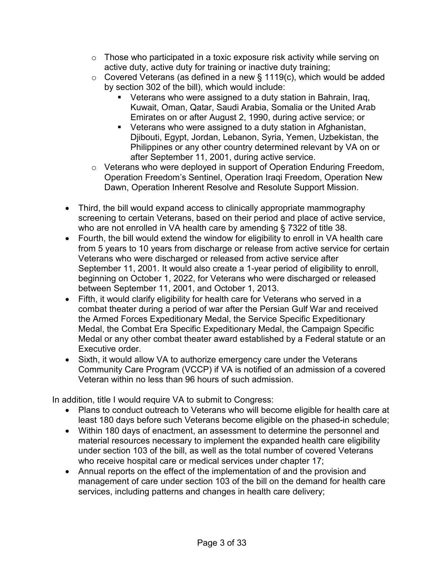- o Those who participated in a toxic exposure risk activity while serving on active duty, active duty for training or inactive duty training;
- $\circ$  Covered Veterans (as defined in a new § 1119(c), which would be added by section 302 of the bill), which would include:
	- Veterans who were assigned to a duty station in Bahrain, Iraq, Kuwait, Oman, Qatar, Saudi Arabia, Somalia or the United Arab Emirates on or after August 2, 1990, during active service; or
	- Veterans who were assigned to a duty station in Afghanistan, Djibouti, Egypt, Jordan, Lebanon, Syria, Yemen, Uzbekistan, the Philippines or any other country determined relevant by VA on or after September 11, 2001, during active service.
- o Veterans who were deployed in support of Operation Enduring Freedom, Operation Freedom's Sentinel, Operation Iraqi Freedom, Operation New Dawn, Operation Inherent Resolve and Resolute Support Mission.
- Third, the bill would expand access to clinically appropriate mammography screening to certain Veterans, based on their period and place of active service, who are not enrolled in VA health care by amending § 7322 of title 38.
- Fourth, the bill would extend the window for eligibility to enroll in VA health care from 5 years to 10 years from discharge or release from active service for certain Veterans who were discharged or released from active service after September 11, 2001. It would also create a 1-year period of eligibility to enroll, beginning on October 1, 2022, for Veterans who were discharged or released between September 11, 2001, and October 1, 2013.
- Fifth, it would clarify eligibility for health care for Veterans who served in a combat theater during a period of war after the Persian Gulf War and received the Armed Forces Expeditionary Medal, the Service Specific Expeditionary Medal, the Combat Era Specific Expeditionary Medal, the Campaign Specific Medal or any other combat theater award established by a Federal statute or an Executive order.
- Sixth, it would allow VA to authorize emergency care under the Veterans Community Care Program (VCCP) if VA is notified of an admission of a covered Veteran within no less than 96 hours of such admission.

In addition, title I would require VA to submit to Congress:

- Plans to conduct outreach to Veterans who will become eligible for health care at least 180 days before such Veterans become eligible on the phased-in schedule;
- Within 180 days of enactment, an assessment to determine the personnel and material resources necessary to implement the expanded health care eligibility under section 103 of the bill, as well as the total number of covered Veterans who receive hospital care or medical services under chapter 17;
- Annual reports on the effect of the implementation of and the provision and management of care under section 103 of the bill on the demand for health care services, including patterns and changes in health care delivery;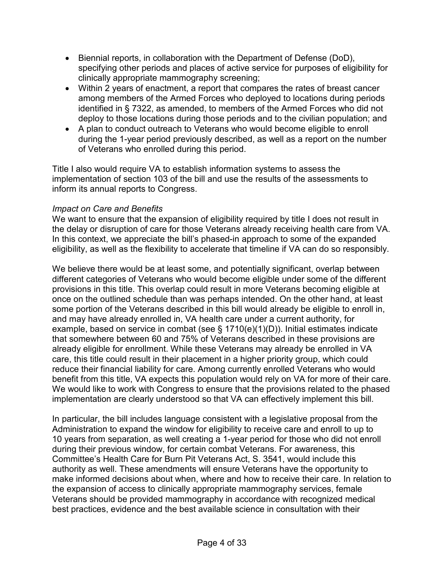- Biennial reports, in collaboration with the Department of Defense (DoD), specifying other periods and places of active service for purposes of eligibility for clinically appropriate mammography screening;
- Within 2 years of enactment, a report that compares the rates of breast cancer among members of the Armed Forces who deployed to locations during periods identified in § 7322, as amended, to members of the Armed Forces who did not deploy to those locations during those periods and to the civilian population; and
- A plan to conduct outreach to Veterans who would become eligible to enroll during the 1-year period previously described, as well as a report on the number of Veterans who enrolled during this period.

Title I also would require VA to establish information systems to assess the implementation of section 103 of the bill and use the results of the assessments to inform its annual reports to Congress.

#### *Impact on Care and Benefits*

We want to ensure that the expansion of eligibility required by title I does not result in the delay or disruption of care for those Veterans already receiving health care from VA. In this context, we appreciate the bill's phased-in approach to some of the expanded eligibility, as well as the flexibility to accelerate that timeline if VA can do so responsibly.

We believe there would be at least some, and potentially significant, overlap between different categories of Veterans who would become eligible under some of the different provisions in this title. This overlap could result in more Veterans becoming eligible at once on the outlined schedule than was perhaps intended. On the other hand, at least some portion of the Veterans described in this bill would already be eligible to enroll in, and may have already enrolled in, VA health care under a current authority, for example, based on service in combat (see § 1710(e)(1)(D)). Initial estimates indicate that somewhere between 60 and 75% of Veterans described in these provisions are already eligible for enrollment. While these Veterans may already be enrolled in VA care, this title could result in their placement in a higher priority group, which could reduce their financial liability for care. Among currently enrolled Veterans who would benefit from this title, VA expects this population would rely on VA for more of their care. We would like to work with Congress to ensure that the provisions related to the phased implementation are clearly understood so that VA can effectively implement this bill.

In particular, the bill includes language consistent with a legislative proposal from the Administration to expand the window for eligibility to receive care and enroll to up to 10 years from separation, as well creating a 1-year period for those who did not enroll during their previous window, for certain combat Veterans. For awareness, this Committee's Health Care for Burn Pit Veterans Act, S. 3541, would include this authority as well. These amendments will ensure Veterans have the opportunity to make informed decisions about when, where and how to receive their care. In relation to the expansion of access to clinically appropriate mammography services, female Veterans should be provided mammography in accordance with recognized medical best practices, evidence and the best available science in consultation with their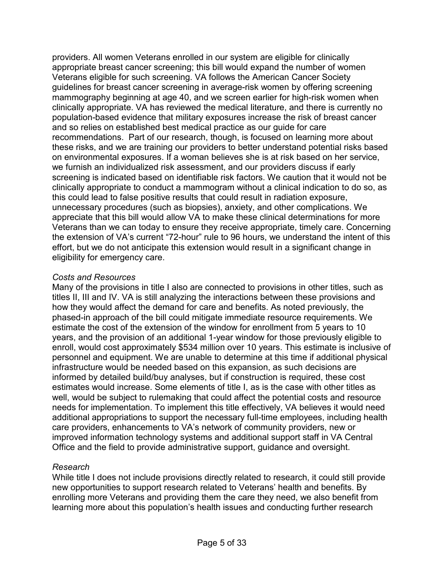providers. All women Veterans enrolled in our system are eligible for clinically appropriate breast cancer screening; this bill would expand the number of women Veterans eligible for such screening. VA follows the American Cancer Society guidelines for breast cancer screening in average-risk women by offering screening mammography beginning at age 40, and we screen earlier for high-risk women when clinically appropriate. VA has reviewed the medical literature, and there is currently no population-based evidence that military exposures increase the risk of breast cancer and so relies on established best medical practice as our guide for care recommendations. Part of our research, though, is focused on learning more about these risks, and we are training our providers to better understand potential risks based on environmental exposures. If a woman believes she is at risk based on her service, we furnish an individualized risk assessment, and our providers discuss if early screening is indicated based on identifiable risk factors. We caution that it would not be clinically appropriate to conduct a mammogram without a clinical indication to do so, as this could lead to false positive results that could result in radiation exposure, unnecessary procedures (such as biopsies), anxiety, and other complications. We appreciate that this bill would allow VA to make these clinical determinations for more Veterans than we can today to ensure they receive appropriate, timely care. Concerning the extension of VA's current "72-hour" rule to 96 hours, we understand the intent of this effort, but we do not anticipate this extension would result in a significant change in eligibility for emergency care.

#### *Costs and Resources*

Many of the provisions in title I also are connected to provisions in other titles, such as titles II, III and IV. VA is still analyzing the interactions between these provisions and how they would affect the demand for care and benefits. As noted previously, the phased-in approach of the bill could mitigate immediate resource requirements. We estimate the cost of the extension of the window for enrollment from 5 years to 10 years, and the provision of an additional 1-year window for those previously eligible to enroll, would cost approximately \$534 million over 10 years. This estimate is inclusive of personnel and equipment. We are unable to determine at this time if additional physical infrastructure would be needed based on this expansion, as such decisions are informed by detailed build/buy analyses, but if construction is required, these cost estimates would increase. Some elements of title I, as is the case with other titles as well, would be subject to rulemaking that could affect the potential costs and resource needs for implementation. To implement this title effectively, VA believes it would need additional appropriations to support the necessary full-time employees, including health care providers, enhancements to VA's network of community providers, new or improved information technology systems and additional support staff in VA Central Office and the field to provide administrative support, guidance and oversight.

#### *Research*

While title I does not include provisions directly related to research, it could still provide new opportunities to support research related to Veterans' health and benefits. By enrolling more Veterans and providing them the care they need, we also benefit from learning more about this population's health issues and conducting further research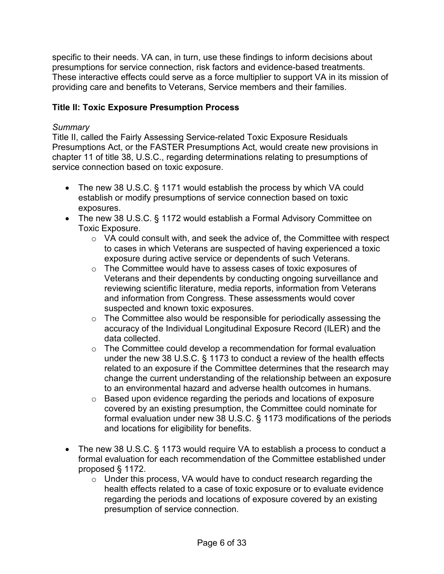specific to their needs. VA can, in turn, use these findings to inform decisions about presumptions for service connection, risk factors and evidence-based treatments. These interactive effects could serve as a force multiplier to support VA in its mission of providing care and benefits to Veterans, Service members and their families.

## **Title II: Toxic Exposure Presumption Process**

#### *Summary*

Title II, called the Fairly Assessing Service-related Toxic Exposure Residuals Presumptions Act, or the FASTER Presumptions Act, would create new provisions in chapter 11 of title 38, U.S.C., regarding determinations relating to presumptions of service connection based on toxic exposure.

- The new 38 U.S.C. § 1171 would establish the process by which VA could establish or modify presumptions of service connection based on toxic exposures.
- The new 38 U.S.C. § 1172 would establish a Formal Advisory Committee on Toxic Exposure.
	- o VA could consult with, and seek the advice of, the Committee with respect to cases in which Veterans are suspected of having experienced a toxic exposure during active service or dependents of such Veterans.
	- o The Committee would have to assess cases of toxic exposures of Veterans and their dependents by conducting ongoing surveillance and reviewing scientific literature, media reports, information from Veterans and information from Congress. These assessments would cover suspected and known toxic exposures.
	- o The Committee also would be responsible for periodically assessing the accuracy of the Individual Longitudinal Exposure Record (ILER) and the data collected.
	- $\circ$  The Committee could develop a recommendation for formal evaluation under the new 38 U.S.C. § 1173 to conduct a review of the health effects related to an exposure if the Committee determines that the research may change the current understanding of the relationship between an exposure to an environmental hazard and adverse health outcomes in humans.
	- o Based upon evidence regarding the periods and locations of exposure covered by an existing presumption, the Committee could nominate for formal evaluation under new 38 U.S.C. § 1173 modifications of the periods and locations for eligibility for benefits.
- The new 38 U.S.C. § 1173 would require VA to establish a process to conduct a formal evaluation for each recommendation of the Committee established under proposed § 1172.
	- $\circ$  Under this process, VA would have to conduct research regarding the health effects related to a case of toxic exposure or to evaluate evidence regarding the periods and locations of exposure covered by an existing presumption of service connection.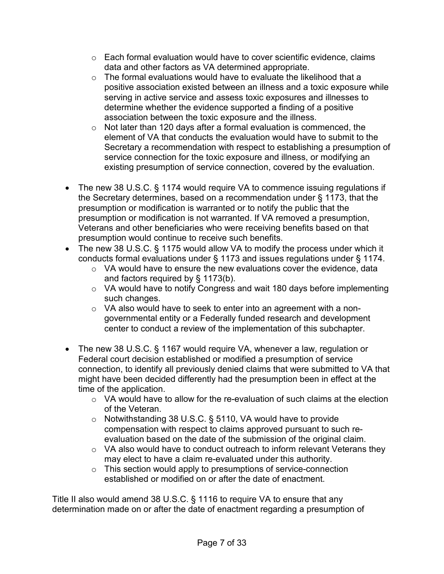- $\circ$  Each formal evaluation would have to cover scientific evidence, claims data and other factors as VA determined appropriate.
- $\circ$  The formal evaluations would have to evaluate the likelihood that a positive association existed between an illness and a toxic exposure while serving in active service and assess toxic exposures and illnesses to determine whether the evidence supported a finding of a positive association between the toxic exposure and the illness.
- $\circ$  Not later than 120 days after a formal evaluation is commenced, the element of VA that conducts the evaluation would have to submit to the Secretary a recommendation with respect to establishing a presumption of service connection for the toxic exposure and illness, or modifying an existing presumption of service connection, covered by the evaluation.
- The new 38 U.S.C. § 1174 would require VA to commence issuing regulations if the Secretary determines, based on a recommendation under § 1173, that the presumption or modification is warranted or to notify the public that the presumption or modification is not warranted. If VA removed a presumption, Veterans and other beneficiaries who were receiving benefits based on that presumption would continue to receive such benefits.
- The new 38 U.S.C. § 1175 would allow VA to modify the process under which it conducts formal evaluations under § 1173 and issues regulations under § 1174.
	- $\circ$  VA would have to ensure the new evaluations cover the evidence, data and factors required by § 1173(b).
	- o VA would have to notify Congress and wait 180 days before implementing such changes.
	- $\circ$  VA also would have to seek to enter into an agreement with a nongovernmental entity or a Federally funded research and development center to conduct a review of the implementation of this subchapter.
- The new 38 U.S.C. § 1167 would require VA, whenever a law, regulation or Federal court decision established or modified a presumption of service connection, to identify all previously denied claims that were submitted to VA that might have been decided differently had the presumption been in effect at the time of the application.
	- $\circ$  VA would have to allow for the re-evaluation of such claims at the election of the Veteran.
	- o Notwithstanding 38 U.S.C. § 5110, VA would have to provide compensation with respect to claims approved pursuant to such reevaluation based on the date of the submission of the original claim.
	- o VA also would have to conduct outreach to inform relevant Veterans they may elect to have a claim re-evaluated under this authority.
	- o This section would apply to presumptions of service-connection established or modified on or after the date of enactment.

Title II also would amend 38 U.S.C. § 1116 to require VA to ensure that any determination made on or after the date of enactment regarding a presumption of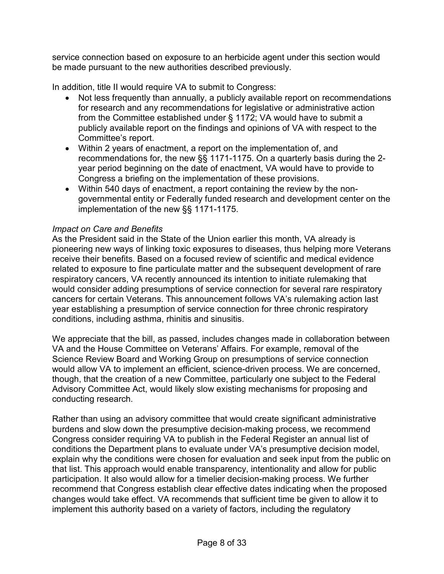service connection based on exposure to an herbicide agent under this section would be made pursuant to the new authorities described previously.

In addition, title II would require VA to submit to Congress:

- Not less frequently than annually, a publicly available report on recommendations for research and any recommendations for legislative or administrative action from the Committee established under § 1172; VA would have to submit a publicly available report on the findings and opinions of VA with respect to the Committee's report.
- Within 2 years of enactment, a report on the implementation of, and recommendations for, the new §§ 1171-1175. On a quarterly basis during the 2 year period beginning on the date of enactment, VA would have to provide to Congress a briefing on the implementation of these provisions.
- Within 540 days of enactment, a report containing the review by the nongovernmental entity or Federally funded research and development center on the implementation of the new §§ 1171-1175.

#### *Impact on Care and Benefits*

As the President said in the State of the Union earlier this month, VA already is pioneering new ways of linking toxic exposures to diseases, thus helping more Veterans receive their benefits. Based on a focused review of scientific and medical evidence related to exposure to fine particulate matter and the subsequent development of rare respiratory cancers, VA recently announced its intention to initiate rulemaking that would consider adding presumptions of service connection for several rare respiratory cancers for certain Veterans. This announcement follows VA's rulemaking action last year establishing a presumption of service connection for three chronic respiratory conditions, including asthma, rhinitis and sinusitis.

We appreciate that the bill, as passed, includes changes made in collaboration between VA and the House Committee on Veterans' Affairs. For example, removal of the Science Review Board and Working Group on presumptions of service connection would allow VA to implement an efficient, science-driven process. We are concerned, though, that the creation of a new Committee, particularly one subject to the Federal Advisory Committee Act, would likely slow existing mechanisms for proposing and conducting research.

Rather than using an advisory committee that would create significant administrative burdens and slow down the presumptive decision-making process, we recommend Congress consider requiring VA to publish in the Federal Register an annual list of conditions the Department plans to evaluate under VA's presumptive decision model, explain why the conditions were chosen for evaluation and seek input from the public on that list. This approach would enable transparency, intentionality and allow for public participation. It also would allow for a timelier decision-making process. We further recommend that Congress establish clear effective dates indicating when the proposed changes would take effect. VA recommends that sufficient time be given to allow it to implement this authority based on a variety of factors, including the regulatory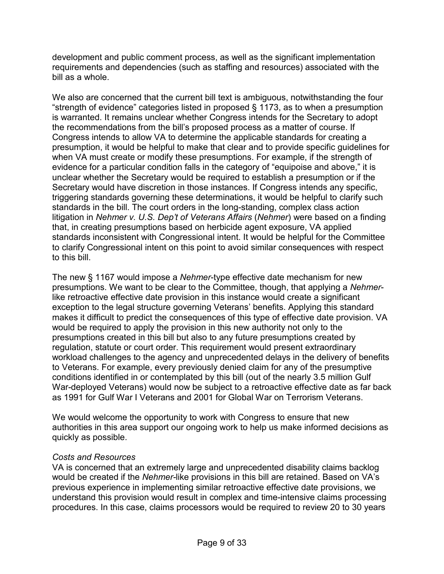development and public comment process, as well as the significant implementation requirements and dependencies (such as staffing and resources) associated with the bill as a whole.

We also are concerned that the current bill text is ambiguous, notwithstanding the four "strength of evidence" categories listed in proposed § 1173, as to when a presumption is warranted. It remains unclear whether Congress intends for the Secretary to adopt the recommendations from the bill's proposed process as a matter of course. If Congress intends to allow VA to determine the applicable standards for creating a presumption, it would be helpful to make that clear and to provide specific guidelines for when VA must create or modify these presumptions. For example, if the strength of evidence for a particular condition falls in the category of "equipoise and above," it is unclear whether the Secretary would be required to establish a presumption or if the Secretary would have discretion in those instances. If Congress intends any specific, triggering standards governing these determinations, it would be helpful to clarify such standards in the bill. The court orders in the long-standing, complex class action litigation in *Nehmer v. U.S. Dep't of Veterans Affairs* (*Nehmer*) were based on a finding that, in creating presumptions based on herbicide agent exposure, VA applied standards inconsistent with Congressional intent. It would be helpful for the Committee to clarify Congressional intent on this point to avoid similar consequences with respect to this bill.

The new § 1167 would impose a *Nehmer*-type effective date mechanism for new presumptions. We want to be clear to the Committee, though, that applying a *Nehmer*like retroactive effective date provision in this instance would create a significant exception to the legal structure governing Veterans' benefits. Applying this standard makes it difficult to predict the consequences of this type of effective date provision. VA would be required to apply the provision in this new authority not only to the presumptions created in this bill but also to any future presumptions created by regulation, statute or court order. This requirement would present extraordinary workload challenges to the agency and unprecedented delays in the delivery of benefits to Veterans. For example, every previously denied claim for any of the presumptive conditions identified in or contemplated by this bill (out of the nearly 3.5 million Gulf War-deployed Veterans) would now be subject to a retroactive effective date as far back as 1991 for Gulf War I Veterans and 2001 for Global War on Terrorism Veterans.

We would welcome the opportunity to work with Congress to ensure that new authorities in this area support our ongoing work to help us make informed decisions as quickly as possible.

#### *Costs and Resources*

VA is concerned that an extremely large and unprecedented disability claims backlog would be created if the *Nehmer-*like provisions in this bill are retained. Based on VA's previous experience in implementing similar retroactive effective date provisions, we understand this provision would result in complex and time-intensive claims processing procedures. In this case, claims processors would be required to review 20 to 30 years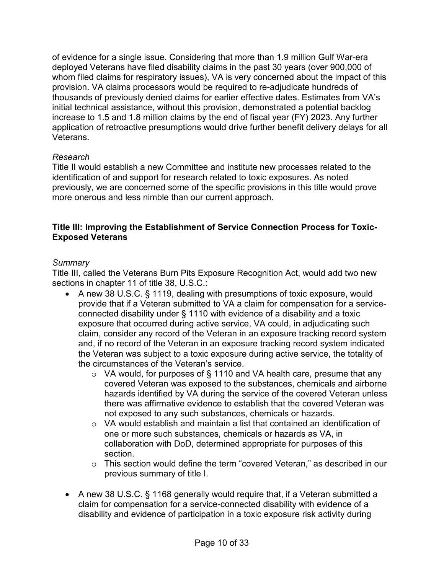of evidence for a single issue. Considering that more than 1.9 million Gulf War-era deployed Veterans have filed disability claims in the past 30 years (over 900,000 of whom filed claims for respiratory issues), VA is very concerned about the impact of this provision. VA claims processors would be required to re-adjudicate hundreds of thousands of previously denied claims for earlier effective dates. Estimates from VA's initial technical assistance, without this provision, demonstrated a potential backlog increase to 1.5 and 1.8 million claims by the end of fiscal year (FY) 2023. Any further application of retroactive presumptions would drive further benefit delivery delays for all Veterans.

#### *Research*

Title II would establish a new Committee and institute new processes related to the identification of and support for research related to toxic exposures. As noted previously, we are concerned some of the specific provisions in this title would prove more onerous and less nimble than our current approach.

#### **Title III: Improving the Establishment of Service Connection Process for Toxic-Exposed Veterans**

#### *Summary*

Title III, called the Veterans Burn Pits Exposure Recognition Act, would add two new sections in chapter 11 of title 38, U.S.C.:

- A new 38 U.S.C. § 1119, dealing with presumptions of toxic exposure, would provide that if a Veteran submitted to VA a claim for compensation for a serviceconnected disability under § 1110 with evidence of a disability and a toxic exposure that occurred during active service, VA could, in adjudicating such claim, consider any record of the Veteran in an exposure tracking record system and, if no record of the Veteran in an exposure tracking record system indicated the Veteran was subject to a toxic exposure during active service, the totality of the circumstances of the Veteran's service.
	- o VA would, for purposes of § 1110 and VA health care, presume that any covered Veteran was exposed to the substances, chemicals and airborne hazards identified by VA during the service of the covered Veteran unless there was affirmative evidence to establish that the covered Veteran was not exposed to any such substances, chemicals or hazards.
	- $\circ$  VA would establish and maintain a list that contained an identification of one or more such substances, chemicals or hazards as VA, in collaboration with DoD, determined appropriate for purposes of this section.
	- o This section would define the term "covered Veteran," as described in our previous summary of title I.
- A new 38 U.S.C. § 1168 generally would require that, if a Veteran submitted a claim for compensation for a service-connected disability with evidence of a disability and evidence of participation in a toxic exposure risk activity during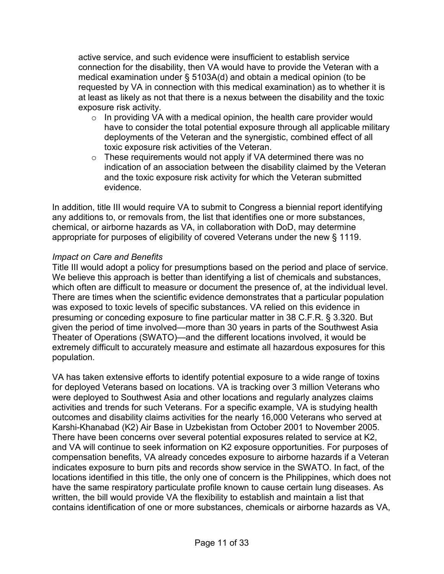active service, and such evidence were insufficient to establish service connection for the disability, then VA would have to provide the Veteran with a medical examination under § 5103A(d) and obtain a medical opinion (to be requested by VA in connection with this medical examination) as to whether it is at least as likely as not that there is a nexus between the disability and the toxic exposure risk activity.

- $\circ$  In providing VA with a medical opinion, the health care provider would have to consider the total potential exposure through all applicable military deployments of the Veteran and the synergistic, combined effect of all toxic exposure risk activities of the Veteran.
- $\circ$  These requirements would not apply if VA determined there was no indication of an association between the disability claimed by the Veteran and the toxic exposure risk activity for which the Veteran submitted evidence.

In addition, title III would require VA to submit to Congress a biennial report identifying any additions to, or removals from, the list that identifies one or more substances, chemical, or airborne hazards as VA, in collaboration with DoD, may determine appropriate for purposes of eligibility of covered Veterans under the new § 1119.

#### *Impact on Care and Benefits*

Title III would adopt a policy for presumptions based on the period and place of service. We believe this approach is better than identifying a list of chemicals and substances, which often are difficult to measure or document the presence of, at the individual level. There are times when the scientific evidence demonstrates that a particular population was exposed to toxic levels of specific substances. VA relied on this evidence in presuming or conceding exposure to fine particular matter in 38 C.F.R. § 3.320. But given the period of time involved—more than 30 years in parts of the Southwest Asia Theater of Operations (SWATO)—and the different locations involved, it would be extremely difficult to accurately measure and estimate all hazardous exposures for this population.

VA has taken extensive efforts to identify potential exposure to a wide range of toxins for deployed Veterans based on locations. VA is tracking over 3 million Veterans who were deployed to Southwest Asia and other locations and regularly analyzes claims activities and trends for such Veterans. For a specific example, VA is studying health outcomes and disability claims activities for the nearly 16,000 Veterans who served at Karshi-Khanabad (K2) Air Base in Uzbekistan from October 2001 to November 2005. There have been concerns over several potential exposures related to service at K2, and VA will continue to seek information on K2 exposure opportunities. For purposes of compensation benefits, VA already concedes exposure to airborne hazards if a Veteran indicates exposure to burn pits and records show service in the SWATO. In fact, of the locations identified in this title, the only one of concern is the Philippines, which does not have the same respiratory particulate profile known to cause certain lung diseases. As written, the bill would provide VA the flexibility to establish and maintain a list that contains identification of one or more substances, chemicals or airborne hazards as VA,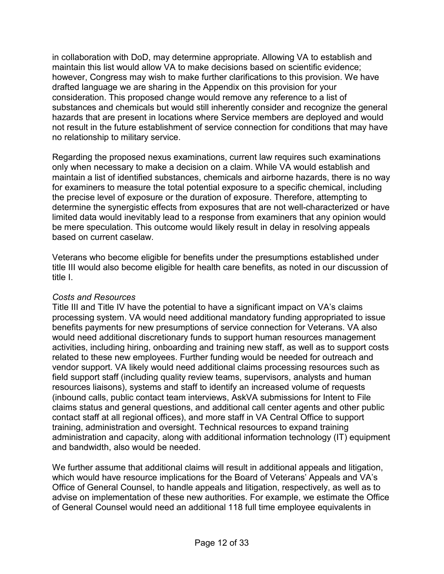in collaboration with DoD, may determine appropriate. Allowing VA to establish and maintain this list would allow VA to make decisions based on scientific evidence; however, Congress may wish to make further clarifications to this provision. We have drafted language we are sharing in the Appendix on this provision for your consideration. This proposed change would remove any reference to a list of substances and chemicals but would still inherently consider and recognize the general hazards that are present in locations where Service members are deployed and would not result in the future establishment of service connection for conditions that may have no relationship to military service.

Regarding the proposed nexus examinations, current law requires such examinations only when necessary to make a decision on a claim. While VA would establish and maintain a list of identified substances, chemicals and airborne hazards, there is no way for examiners to measure the total potential exposure to a specific chemical, including the precise level of exposure or the duration of exposure. Therefore, attempting to determine the synergistic effects from exposures that are not well-characterized or have limited data would inevitably lead to a response from examiners that any opinion would be mere speculation. This outcome would likely result in delay in resolving appeals based on current caselaw.

Veterans who become eligible for benefits under the presumptions established under title III would also become eligible for health care benefits, as noted in our discussion of title I.

## *Costs and Resources*

Title III and Title IV have the potential to have a significant impact on VA's claims processing system. VA would need additional mandatory funding appropriated to issue benefits payments for new presumptions of service connection for Veterans. VA also would need additional discretionary funds to support human resources management activities, including hiring, onboarding and training new staff, as well as to support costs related to these new employees. Further funding would be needed for outreach and vendor support. VA likely would need additional claims processing resources such as field support staff (including quality review teams, supervisors, analysts and human resources liaisons), systems and staff to identify an increased volume of requests (inbound calls, public contact team interviews, AskVA submissions for Intent to File claims status and general questions, and additional call center agents and other public contact staff at all regional offices), and more staff in VA Central Office to support training, administration and oversight. Technical resources to expand training administration and capacity, along with additional information technology (IT) equipment and bandwidth, also would be needed.

We further assume that additional claims will result in additional appeals and litigation, which would have resource implications for the Board of Veterans' Appeals and VA's Office of General Counsel, to handle appeals and litigation, respectively, as well as to advise on implementation of these new authorities. For example, we estimate the Office of General Counsel would need an additional 118 full time employee equivalents in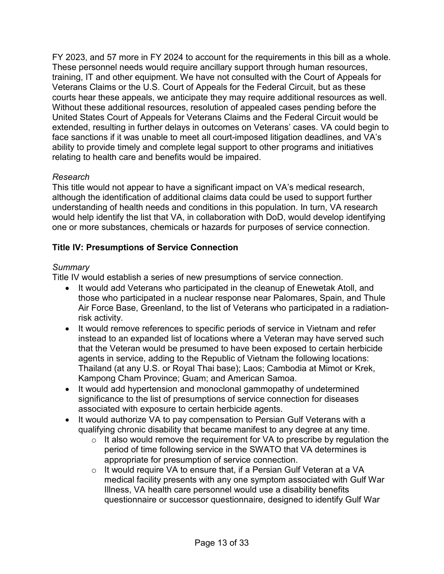FY 2023, and 57 more in FY 2024 to account for the requirements in this bill as a whole. These personnel needs would require ancillary support through human resources, training, IT and other equipment. We have not consulted with the Court of Appeals for Veterans Claims or the U.S. Court of Appeals for the Federal Circuit, but as these courts hear these appeals, we anticipate they may require additional resources as well. Without these additional resources, resolution of appealed cases pending before the United States Court of Appeals for Veterans Claims and the Federal Circuit would be extended, resulting in further delays in outcomes on Veterans' cases. VA could begin to face sanctions if it was unable to meet all court-imposed litigation deadlines, and VA's ability to provide timely and complete legal support to other programs and initiatives relating to health care and benefits would be impaired.

## *Research*

This title would not appear to have a significant impact on VA's medical research, although the identification of additional claims data could be used to support further understanding of health needs and conditions in this population. In turn, VA research would help identify the list that VA, in collaboration with DoD, would develop identifying one or more substances, chemicals or hazards for purposes of service connection.

# **Title IV: Presumptions of Service Connection**

## *Summary*

Title IV would establish a series of new presumptions of service connection.

- It would add Veterans who participated in the cleanup of Enewetak Atoll, and those who participated in a nuclear response near Palomares, Spain, and Thule Air Force Base, Greenland, to the list of Veterans who participated in a radiationrisk activity.
- It would remove references to specific periods of service in Vietnam and refer instead to an expanded list of locations where a Veteran may have served such that the Veteran would be presumed to have been exposed to certain herbicide agents in service, adding to the Republic of Vietnam the following locations: Thailand (at any U.S. or Royal Thai base); Laos; Cambodia at Mimot or Krek, Kampong Cham Province; Guam; and American Samoa.
- It would add hypertension and monoclonal gammopathy of undetermined significance to the list of presumptions of service connection for diseases associated with exposure to certain herbicide agents.
- It would authorize VA to pay compensation to Persian Gulf Veterans with a qualifying chronic disability that became manifest to any degree at any time.
	- $\circ$  It also would remove the requirement for VA to prescribe by requiation the period of time following service in the SWATO that VA determines is appropriate for presumption of service connection.
	- o It would require VA to ensure that, if a Persian Gulf Veteran at a VA medical facility presents with any one symptom associated with Gulf War Illness, VA health care personnel would use a disability benefits questionnaire or successor questionnaire, designed to identify Gulf War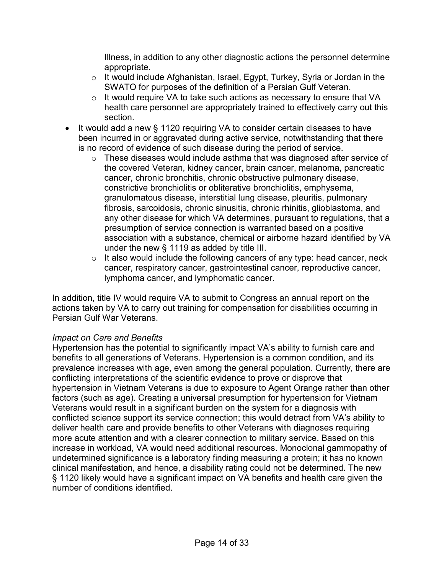Illness, in addition to any other diagnostic actions the personnel determine appropriate.

- o It would include Afghanistan, Israel, Egypt, Turkey, Syria or Jordan in the SWATO for purposes of the definition of a Persian Gulf Veteran.
- o It would require VA to take such actions as necessary to ensure that VA health care personnel are appropriately trained to effectively carry out this section.
- It would add a new § 1120 requiring VA to consider certain diseases to have been incurred in or aggravated during active service, notwithstanding that there is no record of evidence of such disease during the period of service.
	- o These diseases would include asthma that was diagnosed after service of the covered Veteran, kidney cancer, brain cancer, melanoma, pancreatic cancer, chronic bronchitis, chronic obstructive pulmonary disease, constrictive bronchiolitis or obliterative bronchiolitis, emphysema, granulomatous disease, interstitial lung disease, pleuritis, pulmonary fibrosis, sarcoidosis, chronic sinusitis, chronic rhinitis, glioblastoma, and any other disease for which VA determines, pursuant to regulations, that a presumption of service connection is warranted based on a positive association with a substance, chemical or airborne hazard identified by VA under the new § 1119 as added by title III.
	- $\circ$  It also would include the following cancers of any type: head cancer, neck cancer, respiratory cancer, gastrointestinal cancer, reproductive cancer, lymphoma cancer, and lymphomatic cancer.

In addition, title IV would require VA to submit to Congress an annual report on the actions taken by VA to carry out training for compensation for disabilities occurring in Persian Gulf War Veterans.

#### *Impact on Care and Benefits*

Hypertension has the potential to significantly impact VA's ability to furnish care and benefits to all generations of Veterans. Hypertension is a common condition, and its prevalence increases with age, even among the general population. Currently, there are conflicting interpretations of the scientific evidence to prove or disprove that hypertension in Vietnam Veterans is due to exposure to Agent Orange rather than other factors (such as age). Creating a universal presumption for hypertension for Vietnam Veterans would result in a significant burden on the system for a diagnosis with conflicted science support its service connection; this would detract from VA's ability to deliver health care and provide benefits to other Veterans with diagnoses requiring more acute attention and with a clearer connection to military service. Based on this increase in workload, VA would need additional resources. Monoclonal gammopathy of undetermined significance is a laboratory finding measuring a protein; it has no known clinical manifestation, and hence, a disability rating could not be determined. The new § 1120 likely would have a significant impact on VA benefits and health care given the number of conditions identified.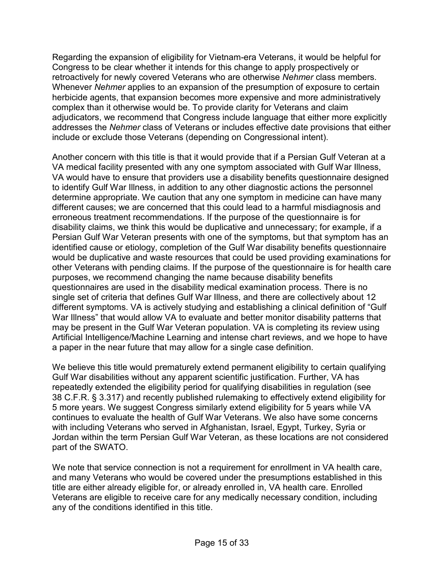Regarding the expansion of eligibility for Vietnam-era Veterans, it would be helpful for Congress to be clear whether it intends for this change to apply prospectively or retroactively for newly covered Veterans who are otherwise *Nehmer* class members. Whenever *Nehmer* applies to an expansion of the presumption of exposure to certain herbicide agents, that expansion becomes more expensive and more administratively complex than it otherwise would be. To provide clarity for Veterans and claim adjudicators, we recommend that Congress include language that either more explicitly addresses the *Nehmer* class of Veterans or includes effective date provisions that either include or exclude those Veterans (depending on Congressional intent).

Another concern with this title is that it would provide that if a Persian Gulf Veteran at a VA medical facility presented with any one symptom associated with Gulf War Illness, VA would have to ensure that providers use a disability benefits questionnaire designed to identify Gulf War Illness, in addition to any other diagnostic actions the personnel determine appropriate. We caution that any one symptom in medicine can have many different causes; we are concerned that this could lead to a harmful misdiagnosis and erroneous treatment recommendations. If the purpose of the questionnaire is for disability claims, we think this would be duplicative and unnecessary; for example, if a Persian Gulf War Veteran presents with one of the symptoms, but that symptom has an identified cause or etiology, completion of the Gulf War disability benefits questionnaire would be duplicative and waste resources that could be used providing examinations for other Veterans with pending claims. If the purpose of the questionnaire is for health care purposes, we recommend changing the name because disability benefits questionnaires are used in the disability medical examination process. There is no single set of criteria that defines Gulf War Illness, and there are collectively about 12 different symptoms. VA is actively studying and establishing a clinical definition of "Gulf War Illness" that would allow VA to evaluate and better monitor disability patterns that may be present in the Gulf War Veteran population. VA is completing its review using Artificial Intelligence/Machine Learning and intense chart reviews, and we hope to have a paper in the near future that may allow for a single case definition.

We believe this title would prematurely extend permanent eligibility to certain qualifying Gulf War disabilities without any apparent scientific justification. Further, VA has repeatedly extended the eligibility period for qualifying disabilities in regulation (see 38 C.F.R. § 3.317) and recently published rulemaking to effectively extend eligibility for 5 more years. We suggest Congress similarly extend eligibility for 5 years while VA continues to evaluate the health of Gulf War Veterans. We also have some concerns with including Veterans who served in Afghanistan, Israel, Egypt, Turkey, Syria or Jordan within the term Persian Gulf War Veteran, as these locations are not considered part of the SWATO.

We note that service connection is not a requirement for enrollment in VA health care, and many Veterans who would be covered under the presumptions established in this title are either already eligible for, or already enrolled in, VA health care. Enrolled Veterans are eligible to receive care for any medically necessary condition, including any of the conditions identified in this title.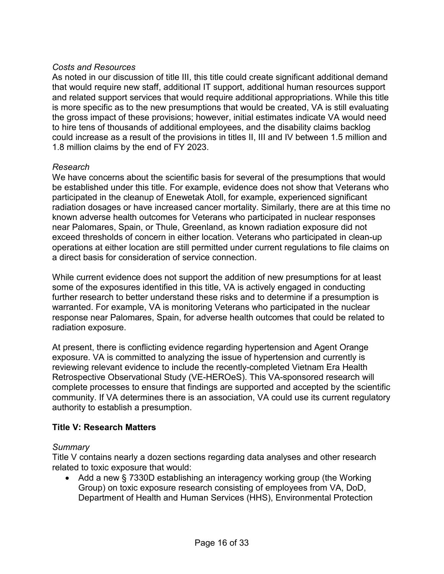## *Costs and Resources*

As noted in our discussion of title III, this title could create significant additional demand that would require new staff, additional IT support, additional human resources support and related support services that would require additional appropriations. While this title is more specific as to the new presumptions that would be created, VA is still evaluating the gross impact of these provisions; however, initial estimates indicate VA would need to hire tens of thousands of additional employees, and the disability claims backlog could increase as a result of the provisions in titles II, III and IV between 1.5 million and 1.8 million claims by the end of FY 2023.

#### *Research*

We have concerns about the scientific basis for several of the presumptions that would be established under this title. For example, evidence does not show that Veterans who participated in the cleanup of Enewetak Atoll, for example, experienced significant radiation dosages or have increased cancer mortality. Similarly, there are at this time no known adverse health outcomes for Veterans who participated in nuclear responses near Palomares, Spain, or Thule, Greenland, as known radiation exposure did not exceed thresholds of concern in either location. Veterans who participated in clean-up operations at either location are still permitted under current regulations to file claims on a direct basis for consideration of service connection.

While current evidence does not support the addition of new presumptions for at least some of the exposures identified in this title, VA is actively engaged in conducting further research to better understand these risks and to determine if a presumption is warranted. For example, VA is monitoring Veterans who participated in the nuclear response near Palomares, Spain, for adverse health outcomes that could be related to radiation exposure.

At present, there is conflicting evidence regarding hypertension and Agent Orange exposure. VA is committed to analyzing the issue of hypertension and currently is reviewing relevant evidence to include the recently-completed Vietnam Era Health Retrospective Observational Study (VE-HEROeS). This VA-sponsored research will complete processes to ensure that findings are supported and accepted by the scientific community. If VA determines there is an association, VA could use its current regulatory authority to establish a presumption.

## **Title V: Research Matters**

#### *Summary*

Title V contains nearly a dozen sections regarding data analyses and other research related to toxic exposure that would:

• Add a new § 7330D establishing an interagency working group (the Working Group) on toxic exposure research consisting of employees from VA, DoD, Department of Health and Human Services (HHS), Environmental Protection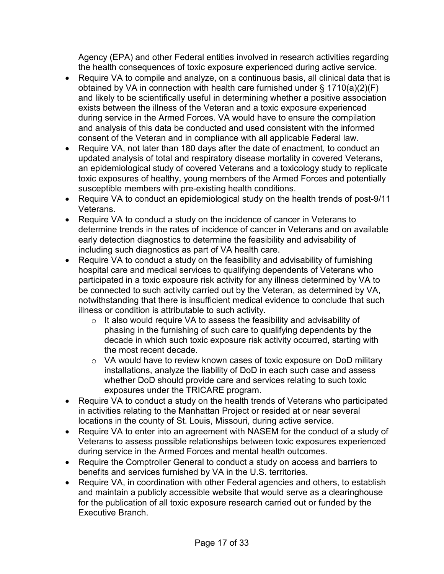Agency (EPA) and other Federal entities involved in research activities regarding the health consequences of toxic exposure experienced during active service.

- Require VA to compile and analyze, on a continuous basis, all clinical data that is obtained by VA in connection with health care furnished under § 1710(a)(2)(F) and likely to be scientifically useful in determining whether a positive association exists between the illness of the Veteran and a toxic exposure experienced during service in the Armed Forces. VA would have to ensure the compilation and analysis of this data be conducted and used consistent with the informed consent of the Veteran and in compliance with all applicable Federal law.
- Require VA, not later than 180 days after the date of enactment, to conduct an updated analysis of total and respiratory disease mortality in covered Veterans, an epidemiological study of covered Veterans and a toxicology study to replicate toxic exposures of healthy, young members of the Armed Forces and potentially susceptible members with pre-existing health conditions.
- Require VA to conduct an epidemiological study on the health trends of post-9/11 Veterans.
- Require VA to conduct a study on the incidence of cancer in Veterans to determine trends in the rates of incidence of cancer in Veterans and on available early detection diagnostics to determine the feasibility and advisability of including such diagnostics as part of VA health care.
- Require VA to conduct a study on the feasibility and advisability of furnishing hospital care and medical services to qualifying dependents of Veterans who participated in a toxic exposure risk activity for any illness determined by VA to be connected to such activity carried out by the Veteran, as determined by VA, notwithstanding that there is insufficient medical evidence to conclude that such illness or condition is attributable to such activity.
	- o It also would require VA to assess the feasibility and advisability of phasing in the furnishing of such care to qualifying dependents by the decade in which such toxic exposure risk activity occurred, starting with the most recent decade.
	- o VA would have to review known cases of toxic exposure on DoD military installations, analyze the liability of DoD in each such case and assess whether DoD should provide care and services relating to such toxic exposures under the TRICARE program.
- Require VA to conduct a study on the health trends of Veterans who participated in activities relating to the Manhattan Project or resided at or near several locations in the county of St. Louis, Missouri, during active service.
- Require VA to enter into an agreement with NASEM for the conduct of a study of Veterans to assess possible relationships between toxic exposures experienced during service in the Armed Forces and mental health outcomes.
- Require the Comptroller General to conduct a study on access and barriers to benefits and services furnished by VA in the U.S. territories.
- Require VA, in coordination with other Federal agencies and others, to establish and maintain a publicly accessible website that would serve as a clearinghouse for the publication of all toxic exposure research carried out or funded by the Executive Branch.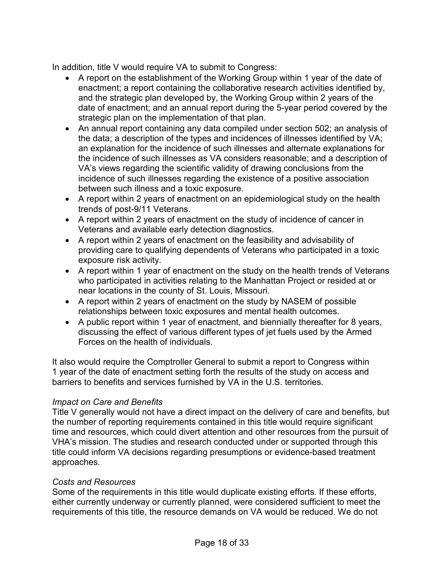In addition, title V would require VA to submit to Congress:

- A report on the establishment of the Working Group within 1 year of the date of enactment; a report containing the collaborative research activities identified by, and the strategic plan developed by, the Working Group within 2 years of the date of enactment; and an annual report during the 5-year period covered by the strategic plan on the implementation of that plan.
- An annual report containing any data compiled under section 502; an analysis of the data; a description of the types and incidences of illnesses identified by VA; an explanation for the incidence of such illnesses and alternate explanations for the incidence of such illnesses as VA considers reasonable; and a description of VA's views regarding the scientific validity of drawing conclusions from the incidence of such illnesses regarding the existence of a positive association between such illness and a toxic exposure.
- A report within 2 years of enactment on an epidemiological study on the health trends of post-9/11 Veterans.
- A report within 2 years of enactment on the study of incidence of cancer in Veterans and available early detection diagnostics.
- A report within 2 years of enactment on the feasibility and advisability of providing care to qualifying dependents of Veterans who participated in a toxic exposure risk activity.
- A report within 1 year of enactment on the study on the health trends of Veterans who participated in activities relating to the Manhattan Project or resided at or near locations in the county of St. Louis, Missouri.
- A report within 2 years of enactment on the study by NASEM of possible relationships between toxic exposures and mental health outcomes.
- A public report within 1 year of enactment, and biennially thereafter for 8 years, discussing the effect of various different types of jet fuels used by the Armed Forces on the health of individuals.

It also would require the Comptroller General to submit a report to Congress within 1 year of the date of enactment setting forth the results of the study on access and barriers to benefits and services furnished by VA in the U.S. territories.

## *Impact on Care and Benefits*

Title V generally would not have a direct impact on the delivery of care and benefits, but the number of reporting requirements contained in this title would require significant time and resources, which could divert attention and other resources from the pursuit of VHA's mission. The studies and research conducted under or supported through this title could inform VA decisions regarding presumptions or evidence-based treatment approaches.

#### *Costs and Resources*

Some of the requirements in this title would duplicate existing efforts. If these efforts, either currently underway or currently planned, were considered sufficient to meet the requirements of this title, the resource demands on VA would be reduced. We do not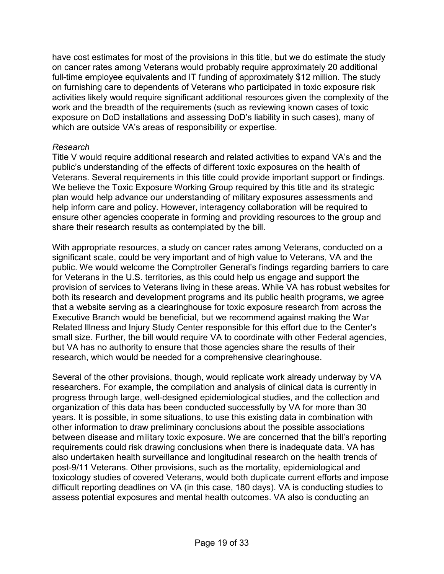have cost estimates for most of the provisions in this title, but we do estimate the study on cancer rates among Veterans would probably require approximately 20 additional full-time employee equivalents and IT funding of approximately \$12 million. The study on furnishing care to dependents of Veterans who participated in toxic exposure risk activities likely would require significant additional resources given the complexity of the work and the breadth of the requirements (such as reviewing known cases of toxic exposure on DoD installations and assessing DoD's liability in such cases), many of which are outside VA's areas of responsibility or expertise.

#### *Research*

Title V would require additional research and related activities to expand VA's and the public's understanding of the effects of different toxic exposures on the health of Veterans. Several requirements in this title could provide important support or findings. We believe the Toxic Exposure Working Group required by this title and its strategic plan would help advance our understanding of military exposures assessments and help inform care and policy. However, interagency collaboration will be required to ensure other agencies cooperate in forming and providing resources to the group and share their research results as contemplated by the bill.

With appropriate resources, a study on cancer rates among Veterans, conducted on a significant scale, could be very important and of high value to Veterans, VA and the public. We would welcome the Comptroller General's findings regarding barriers to care for Veterans in the U.S. territories, as this could help us engage and support the provision of services to Veterans living in these areas. While VA has robust websites for both its research and development programs and its public health programs, we agree that a website serving as a clearinghouse for toxic exposure research from across the Executive Branch would be beneficial, but we recommend against making the War Related Illness and Injury Study Center responsible for this effort due to the Center's small size. Further, the bill would require VA to coordinate with other Federal agencies, but VA has no authority to ensure that those agencies share the results of their research, which would be needed for a comprehensive clearinghouse.

Several of the other provisions, though, would replicate work already underway by VA researchers. For example, the compilation and analysis of clinical data is currently in progress through large, well-designed epidemiological studies, and the collection and organization of this data has been conducted successfully by VA for more than 30 years. It is possible, in some situations, to use this existing data in combination with other information to draw preliminary conclusions about the possible associations between disease and military toxic exposure. We are concerned that the bill's reporting requirements could risk drawing conclusions when there is inadequate data. VA has also undertaken health surveillance and longitudinal research on the health trends of post-9/11 Veterans. Other provisions, such as the mortality, epidemiological and toxicology studies of covered Veterans, would both duplicate current efforts and impose difficult reporting deadlines on VA (in this case, 180 days). VA is conducting studies to assess potential exposures and mental health outcomes. VA also is conducting an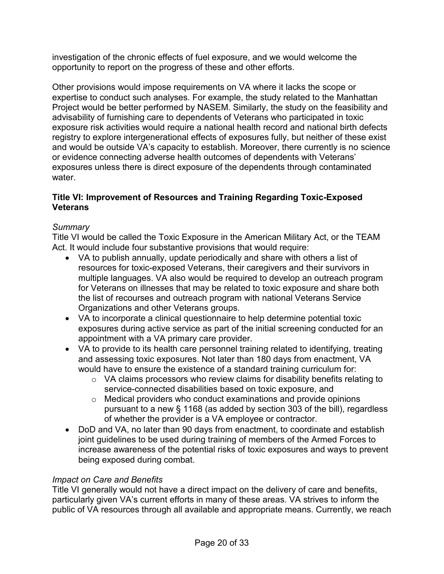investigation of the chronic effects of fuel exposure, and we would welcome the opportunity to report on the progress of these and other efforts.

Other provisions would impose requirements on VA where it lacks the scope or expertise to conduct such analyses. For example, the study related to the Manhattan Project would be better performed by NASEM. Similarly, the study on the feasibility and advisability of furnishing care to dependents of Veterans who participated in toxic exposure risk activities would require a national health record and national birth defects registry to explore intergenerational effects of exposures fully, but neither of these exist and would be outside VA's capacity to establish. Moreover, there currently is no science or evidence connecting adverse health outcomes of dependents with Veterans' exposures unless there is direct exposure of the dependents through contaminated water.

## **Title VI: Improvement of Resources and Training Regarding Toxic-Exposed Veterans**

# *Summary*

Title VI would be called the Toxic Exposure in the American Military Act, or the TEAM Act. It would include four substantive provisions that would require:

- VA to publish annually, update periodically and share with others a list of resources for toxic-exposed Veterans, their caregivers and their survivors in multiple languages. VA also would be required to develop an outreach program for Veterans on illnesses that may be related to toxic exposure and share both the list of recourses and outreach program with national Veterans Service Organizations and other Veterans groups.
- VA to incorporate a clinical questionnaire to help determine potential toxic exposures during active service as part of the initial screening conducted for an appointment with a VA primary care provider.
- VA to provide to its health care personnel training related to identifying, treating and assessing toxic exposures. Not later than 180 days from enactment, VA would have to ensure the existence of a standard training curriculum for:
	- o VA claims processors who review claims for disability benefits relating to service-connected disabilities based on toxic exposure, and
	- o Medical providers who conduct examinations and provide opinions pursuant to a new § 1168 (as added by section 303 of the bill), regardless of whether the provider is a VA employee or contractor.
- DoD and VA, no later than 90 days from enactment, to coordinate and establish joint guidelines to be used during training of members of the Armed Forces to increase awareness of the potential risks of toxic exposures and ways to prevent being exposed during combat.

## *Impact on Care and Benefits*

Title VI generally would not have a direct impact on the delivery of care and benefits, particularly given VA's current efforts in many of these areas. VA strives to inform the public of VA resources through all available and appropriate means. Currently, we reach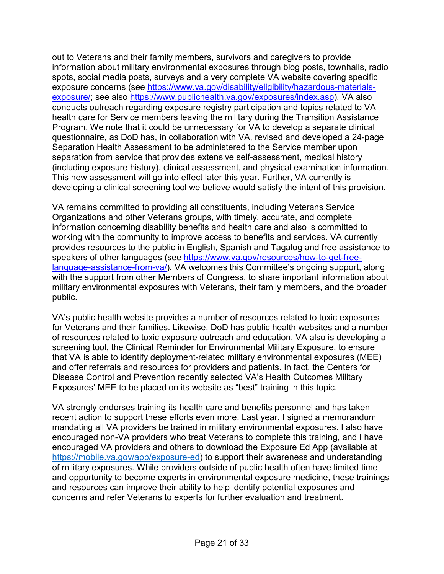out to Veterans and their family members, survivors and caregivers to provide information about military environmental exposures through blog posts, townhalls, radio spots, social media posts, surveys and a very complete VA website covering specific exposure concerns (see [https://www.va.gov/disability/eligibility/hazardous-materials](https://www.va.gov/disability/eligibility/hazardous-materials-exposure/)[exposure/;](https://www.va.gov/disability/eligibility/hazardous-materials-exposure/) see also [https://www.publichealth.va.gov/exposures/index.asp\)](https://www.publichealth.va.gov/exposures/index.asp)*.* VA also conducts outreach regarding exposure registry participation and topics related to VA health care for Service members leaving the military during the Transition Assistance Program. We note that it could be unnecessary for VA to develop a separate clinical questionnaire, as DoD has, in collaboration with VA, revised and developed a 24-page Separation Health Assessment to be administered to the Service member upon separation from service that provides extensive self-assessment, medical history (including exposure history), clinical assessment, and physical examination information. This new assessment will go into effect later this year. Further, VA currently is developing a clinical screening tool we believe would satisfy the intent of this provision.

VA remains committed to providing all constituents, including Veterans Service Organizations and other Veterans groups, with timely, accurate, and complete information concerning disability benefits and health care and also is committed to working with the community to improve access to benefits and services. VA currently provides resources to the public in English, Spanish and Tagalog and free assistance to speakers of other languages (see [https://www.va.gov/resources/how-to-get-free](https://www.va.gov/resources/how-to-get-free-language-assistance-from-va/)[language-assistance-from-va/\)](https://www.va.gov/resources/how-to-get-free-language-assistance-from-va/)*.* VA welcomes this Committee's ongoing support, along with the support from other Members of Congress, to share important information about military environmental exposures with Veterans, their family members, and the broader public.

VA's public health website provides a number of resources related to toxic exposures for Veterans and their families. Likewise, DoD has public health websites and a number of resources related to toxic exposure outreach and education. VA also is developing a screening tool, the Clinical Reminder for Environmental Military Exposure, to ensure that VA is able to identify deployment-related military environmental exposures (MEE) and offer referrals and resources for providers and patients. In fact, the Centers for Disease Control and Prevention recently selected VA's Health Outcomes Military Exposures' MEE to be placed on its website as "best" training in this topic.

VA strongly endorses training its health care and benefits personnel and has taken recent action to support these efforts even more. Last year, I signed a memorandum mandating all VA providers be trained in military environmental exposures. I also have encouraged non-VA providers who treat Veterans to complete this training, and I have encouraged VA providers and others to download the Exposure Ed App (available at [https://mobile.va.gov/app/exposure-ed\)](https://mobile.va.gov/app/exposure-ed) to support their awareness and understanding of military exposures. While providers outside of public health often have limited time and opportunity to become experts in environmental exposure medicine, these trainings and resources can improve their ability to help identify potential exposures and concerns and refer Veterans to experts for further evaluation and treatment.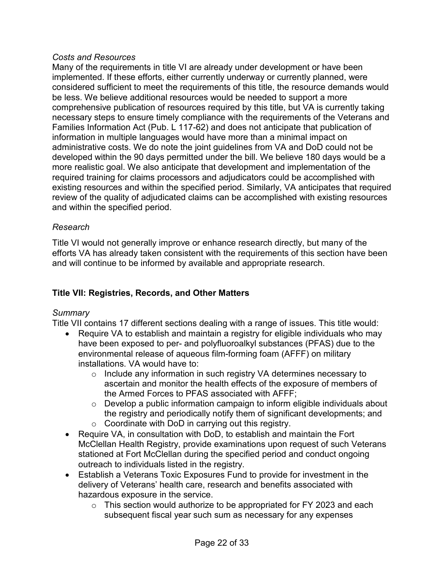#### *Costs and Resources*

Many of the requirements in title VI are already under development or have been implemented. If these efforts, either currently underway or currently planned, were considered sufficient to meet the requirements of this title, the resource demands would be less. We believe additional resources would be needed to support a more comprehensive publication of resources required by this title, but VA is currently taking necessary steps to ensure timely compliance with the requirements of the Veterans and Families Information Act (Pub. L 117-62) and does not anticipate that publication of information in multiple languages would have more than a minimal impact on administrative costs. We do note the joint guidelines from VA and DoD could not be developed within the 90 days permitted under the bill. We believe 180 days would be a more realistic goal. We also anticipate that development and implementation of the required training for claims processors and adjudicators could be accomplished with existing resources and within the specified period. Similarly, VA anticipates that required review of the quality of adjudicated claims can be accomplished with existing resources and within the specified period.

## *Research*

Title VI would not generally improve or enhance research directly, but many of the efforts VA has already taken consistent with the requirements of this section have been and will continue to be informed by available and appropriate research.

# **Title VII: Registries, Records, and Other Matters**

## *Summary*

Title VII contains 17 different sections dealing with a range of issues. This title would:

- Require VA to establish and maintain a registry for eligible individuals who may have been exposed to per- and polyfluoroalkyl substances (PFAS) due to the environmental release of aqueous film-forming foam (AFFF) on military installations. VA would have to:
	- $\circ$  Include any information in such registry VA determines necessary to ascertain and monitor the health effects of the exposure of members of the Armed Forces to PFAS associated with AFFF;
	- $\circ$  Develop a public information campaign to inform eligible individuals about the registry and periodically notify them of significant developments; and
	- $\circ$  Coordinate with DoD in carrying out this registry.
- Require VA, in consultation with DoD, to establish and maintain the Fort McClellan Health Registry, provide examinations upon request of such Veterans stationed at Fort McClellan during the specified period and conduct ongoing outreach to individuals listed in the registry.
- Establish a Veterans Toxic Exposures Fund to provide for investment in the delivery of Veterans' health care, research and benefits associated with hazardous exposure in the service.
	- $\circ$  This section would authorize to be appropriated for FY 2023 and each subsequent fiscal year such sum as necessary for any expenses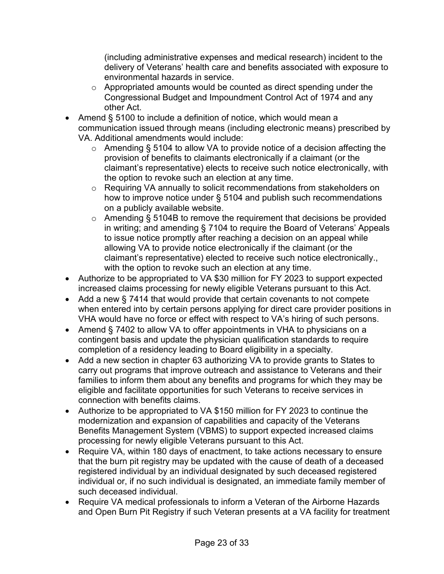(including administrative expenses and medical research) incident to the delivery of Veterans' health care and benefits associated with exposure to environmental hazards in service.

- o Appropriated amounts would be counted as direct spending under the Congressional Budget and Impoundment Control Act of 1974 and any other Act.
- Amend § 5100 to include a definition of notice, which would mean a communication issued through means (including electronic means) prescribed by VA. Additional amendments would include:
	- o Amending § 5104 to allow VA to provide notice of a decision affecting the provision of benefits to claimants electronically if a claimant (or the claimant's representative) elects to receive such notice electronically, with the option to revoke such an election at any time.
	- o Requiring VA annually to solicit recommendations from stakeholders on how to improve notice under § 5104 and publish such recommendations on a publicly available website.
	- o Amending § 5104B to remove the requirement that decisions be provided in writing; and amending § 7104 to require the Board of Veterans' Appeals to issue notice promptly after reaching a decision on an appeal while allowing VA to provide notice electronically if the claimant (or the claimant's representative) elected to receive such notice electronically., with the option to revoke such an election at any time.
- Authorize to be appropriated to VA \$30 million for FY 2023 to support expected increased claims processing for newly eligible Veterans pursuant to this Act.
- Add a new § 7414 that would provide that certain covenants to not compete when entered into by certain persons applying for direct care provider positions in VHA would have no force or effect with respect to VA's hiring of such persons.
- Amend § 7402 to allow VA to offer appointments in VHA to physicians on a contingent basis and update the physician qualification standards to require completion of a residency leading to Board eligibility in a specialty.
- Add a new section in chapter 63 authorizing VA to provide grants to States to carry out programs that improve outreach and assistance to Veterans and their families to inform them about any benefits and programs for which they may be eligible and facilitate opportunities for such Veterans to receive services in connection with benefits claims.
- Authorize to be appropriated to VA \$150 million for FY 2023 to continue the modernization and expansion of capabilities and capacity of the Veterans Benefits Management System (VBMS) to support expected increased claims processing for newly eligible Veterans pursuant to this Act.
- Require VA, within 180 days of enactment, to take actions necessary to ensure that the burn pit registry may be updated with the cause of death of a deceased registered individual by an individual designated by such deceased registered individual or, if no such individual is designated, an immediate family member of such deceased individual.
- Require VA medical professionals to inform a Veteran of the Airborne Hazards and Open Burn Pit Registry if such Veteran presents at a VA facility for treatment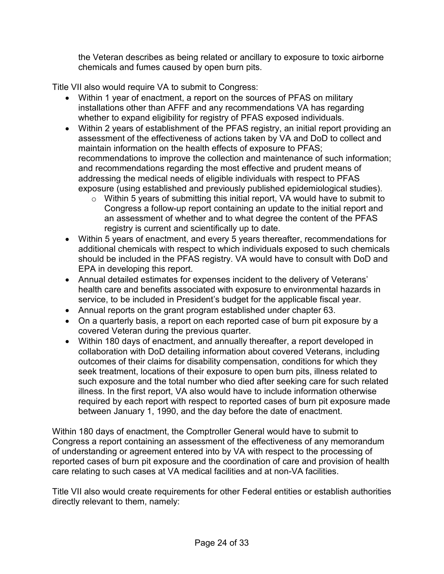the Veteran describes as being related or ancillary to exposure to toxic airborne chemicals and fumes caused by open burn pits.

Title VII also would require VA to submit to Congress:

- Within 1 year of enactment, a report on the sources of PFAS on military installations other than AFFF and any recommendations VA has regarding whether to expand eligibility for registry of PFAS exposed individuals.
- Within 2 years of establishment of the PFAS registry, an initial report providing an assessment of the effectiveness of actions taken by VA and DoD to collect and maintain information on the health effects of exposure to PFAS; recommendations to improve the collection and maintenance of such information; and recommendations regarding the most effective and prudent means of addressing the medical needs of eligible individuals with respect to PFAS exposure (using established and previously published epidemiological studies).
	- o Within 5 years of submitting this initial report, VA would have to submit to Congress a follow-up report containing an update to the initial report and an assessment of whether and to what degree the content of the PFAS registry is current and scientifically up to date.
- Within 5 years of enactment, and every 5 years thereafter, recommendations for additional chemicals with respect to which individuals exposed to such chemicals should be included in the PFAS registry. VA would have to consult with DoD and EPA in developing this report.
- Annual detailed estimates for expenses incident to the delivery of Veterans' health care and benefits associated with exposure to environmental hazards in service, to be included in President's budget for the applicable fiscal year.
- Annual reports on the grant program established under chapter 63.
- On a quarterly basis, a report on each reported case of burn pit exposure by a covered Veteran during the previous quarter.
- Within 180 days of enactment, and annually thereafter, a report developed in collaboration with DoD detailing information about covered Veterans, including outcomes of their claims for disability compensation, conditions for which they seek treatment, locations of their exposure to open burn pits, illness related to such exposure and the total number who died after seeking care for such related illness. In the first report, VA also would have to include information otherwise required by each report with respect to reported cases of burn pit exposure made between January 1, 1990, and the day before the date of enactment.

Within 180 days of enactment, the Comptroller General would have to submit to Congress a report containing an assessment of the effectiveness of any memorandum of understanding or agreement entered into by VA with respect to the processing of reported cases of burn pit exposure and the coordination of care and provision of health care relating to such cases at VA medical facilities and at non-VA facilities.

Title VII also would create requirements for other Federal entities or establish authorities directly relevant to them, namely: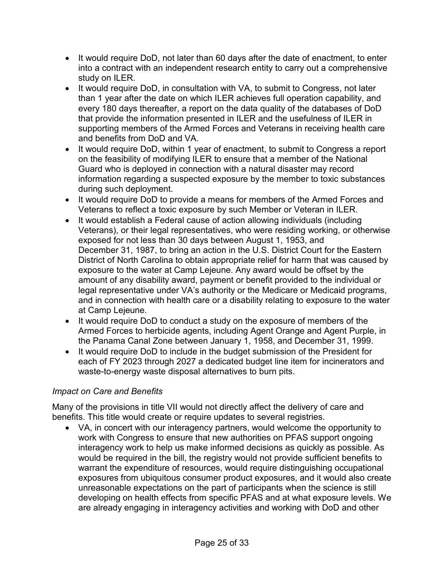- It would require DoD, not later than 60 days after the date of enactment, to enter into a contract with an independent research entity to carry out a comprehensive study on ILER.
- It would require DoD, in consultation with VA, to submit to Congress, not later than 1 year after the date on which ILER achieves full operation capability, and every 180 days thereafter, a report on the data quality of the databases of DoD that provide the information presented in ILER and the usefulness of ILER in supporting members of the Armed Forces and Veterans in receiving health care and benefits from DoD and VA.
- It would require DoD, within 1 year of enactment, to submit to Congress a report on the feasibility of modifying ILER to ensure that a member of the National Guard who is deployed in connection with a natural disaster may record information regarding a suspected exposure by the member to toxic substances during such deployment.
- It would require DoD to provide a means for members of the Armed Forces and Veterans to reflect a toxic exposure by such Member or Veteran in ILER.
- It would establish a Federal cause of action allowing individuals (including Veterans), or their legal representatives, who were residing working, or otherwise exposed for not less than 30 days between August 1, 1953, and December 31, 1987, to bring an action in the U.S. District Court for the Eastern District of North Carolina to obtain appropriate relief for harm that was caused by exposure to the water at Camp Lejeune. Any award would be offset by the amount of any disability award, payment or benefit provided to the individual or legal representative under VA's authority or the Medicare or Medicaid programs, and in connection with health care or a disability relating to exposure to the water at Camp Lejeune.
- It would require DoD to conduct a study on the exposure of members of the Armed Forces to herbicide agents, including Agent Orange and Agent Purple, in the Panama Canal Zone between January 1, 1958, and December 31, 1999.
- It would require DoD to include in the budget submission of the President for each of FY 2023 through 2027 a dedicated budget line item for incinerators and waste-to-energy waste disposal alternatives to burn pits.

## *Impact on Care and Benefits*

Many of the provisions in title VII would not directly affect the delivery of care and benefits. This title would create or require updates to several registries.

• VA, in concert with our interagency partners, would welcome the opportunity to work with Congress to ensure that new authorities on PFAS support ongoing interagency work to help us make informed decisions as quickly as possible. As would be required in the bill, the registry would not provide sufficient benefits to warrant the expenditure of resources, would require distinguishing occupational exposures from ubiquitous consumer product exposures, and it would also create unreasonable expectations on the part of participants when the science is still developing on health effects from specific PFAS and at what exposure levels. We are already engaging in interagency activities and working with DoD and other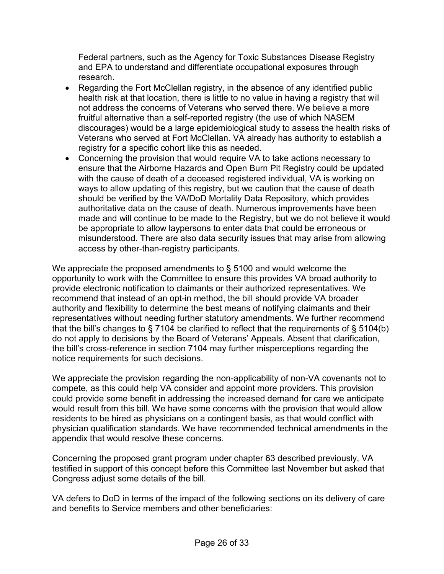Federal partners, such as the Agency for Toxic Substances Disease Registry and EPA to understand and differentiate occupational exposures through research.

- Regarding the Fort McClellan registry, in the absence of any identified public health risk at that location, there is little to no value in having a registry that will not address the concerns of Veterans who served there. We believe a more fruitful alternative than a self-reported registry (the use of which NASEM discourages) would be a large epidemiological study to assess the health risks of Veterans who served at Fort McClellan. VA already has authority to establish a registry for a specific cohort like this as needed.
- Concerning the provision that would require VA to take actions necessary to ensure that the Airborne Hazards and Open Burn Pit Registry could be updated with the cause of death of a deceased registered individual, VA is working on ways to allow updating of this registry, but we caution that the cause of death should be verified by the VA/DoD Mortality Data Repository, which provides authoritative data on the cause of death. Numerous improvements have been made and will continue to be made to the Registry, but we do not believe it would be appropriate to allow laypersons to enter data that could be erroneous or misunderstood. There are also data security issues that may arise from allowing access by other-than-registry participants.

We appreciate the proposed amendments to § 5100 and would welcome the opportunity to work with the Committee to ensure this provides VA broad authority to provide electronic notification to claimants or their authorized representatives. We recommend that instead of an opt-in method, the bill should provide VA broader authority and flexibility to determine the best means of notifying claimants and their representatives without needing further statutory amendments. We further recommend that the bill's changes to § 7104 be clarified to reflect that the requirements of § 5104(b) do not apply to decisions by the Board of Veterans' Appeals. Absent that clarification, the bill's cross-reference in section 7104 may further misperceptions regarding the notice requirements for such decisions.

We appreciate the provision regarding the non-applicability of non-VA covenants not to compete, as this could help VA consider and appoint more providers. This provision could provide some benefit in addressing the increased demand for care we anticipate would result from this bill. We have some concerns with the provision that would allow residents to be hired as physicians on a contingent basis, as that would conflict with physician qualification standards. We have recommended technical amendments in the appendix that would resolve these concerns.

Concerning the proposed grant program under chapter 63 described previously, VA testified in support of this concept before this Committee last November but asked that Congress adjust some details of the bill.

VA defers to DoD in terms of the impact of the following sections on its delivery of care and benefits to Service members and other beneficiaries: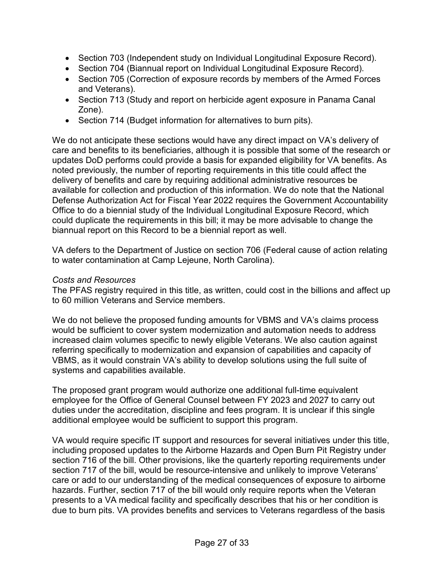- Section 703 (Independent study on Individual Longitudinal Exposure Record).
- Section 704 (Biannual report on Individual Longitudinal Exposure Record).
- Section 705 (Correction of exposure records by members of the Armed Forces and Veterans).
- Section 713 (Study and report on herbicide agent exposure in Panama Canal Zone).
- Section 714 (Budget information for alternatives to burn pits).

We do not anticipate these sections would have any direct impact on VA's delivery of care and benefits to its beneficiaries, although it is possible that some of the research or updates DoD performs could provide a basis for expanded eligibility for VA benefits. As noted previously, the number of reporting requirements in this title could affect the delivery of benefits and care by requiring additional administrative resources be available for collection and production of this information. We do note that the National Defense Authorization Act for Fiscal Year 2022 requires the Government Accountability Office to do a biennial study of the Individual Longitudinal Exposure Record, which could duplicate the requirements in this bill; it may be more advisable to change the biannual report on this Record to be a biennial report as well.

VA defers to the Department of Justice on section 706 (Federal cause of action relating to water contamination at Camp Lejeune, North Carolina).

#### *Costs and Resources*

The PFAS registry required in this title, as written, could cost in the billions and affect up to 60 million Veterans and Service members.

We do not believe the proposed funding amounts for VBMS and VA's claims process would be sufficient to cover system modernization and automation needs to address increased claim volumes specific to newly eligible Veterans. We also caution against referring specifically to modernization and expansion of capabilities and capacity of VBMS, as it would constrain VA's ability to develop solutions using the full suite of systems and capabilities available.

The proposed grant program would authorize one additional full-time equivalent employee for the Office of General Counsel between FY 2023 and 2027 to carry out duties under the accreditation, discipline and fees program. It is unclear if this single additional employee would be sufficient to support this program.

VA would require specific IT support and resources for several initiatives under this title, including proposed updates to the Airborne Hazards and Open Burn Pit Registry under section 716 of the bill. Other provisions, like the quarterly reporting requirements under section 717 of the bill, would be resource-intensive and unlikely to improve Veterans' care or add to our understanding of the medical consequences of exposure to airborne hazards. Further, section 717 of the bill would only require reports when the Veteran presents to a VA medical facility and specifically describes that his or her condition is due to burn pits. VA provides benefits and services to Veterans regardless of the basis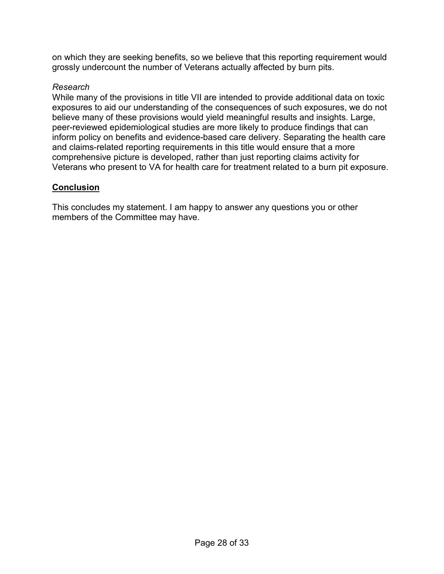on which they are seeking benefits, so we believe that this reporting requirement would grossly undercount the number of Veterans actually affected by burn pits.

## *Research*

While many of the provisions in title VII are intended to provide additional data on toxic exposures to aid our understanding of the consequences of such exposures, we do not believe many of these provisions would yield meaningful results and insights. Large, peer-reviewed epidemiological studies are more likely to produce findings that can inform policy on benefits and evidence-based care delivery. Separating the health care and claims-related reporting requirements in this title would ensure that a more comprehensive picture is developed, rather than just reporting claims activity for Veterans who present to VA for health care for treatment related to a burn pit exposure.

## **Conclusion**

This concludes my statement. I am happy to answer any questions you or other members of the Committee may have.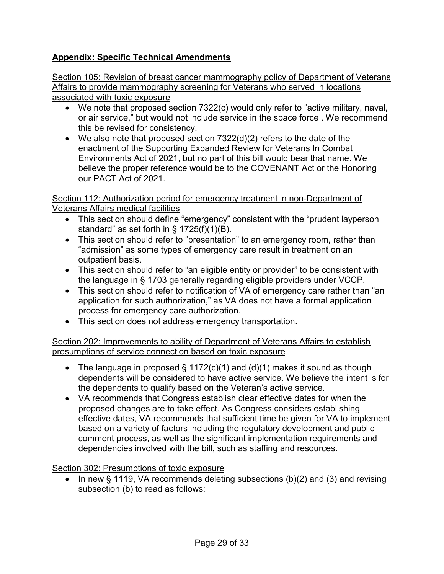# **Appendix: Specific Technical Amendments**

Section 105: Revision of breast cancer mammography policy of Department of Veterans Affairs to provide mammography screening for Veterans who served in locations associated with toxic exposure

- We note that proposed section 7322(c) would only refer to "active military, naval, or air service," but would not include service in the space force . We recommend this be revised for consistency.
- We also note that proposed section 7322(d)(2) refers to the date of the enactment of the Supporting Expanded Review for Veterans In Combat Environments Act of 2021, but no part of this bill would bear that name. We believe the proper reference would be to the COVENANT Act or the Honoring our PACT Act of 2021.

Section 112: Authorization period for emergency treatment in non-Department of Veterans Affairs medical facilities

- This section should define "emergency" consistent with the "prudent layperson standard" as set forth in § 1725(f)(1)(B).
- This section should refer to "presentation" to an emergency room, rather than "admission" as some types of emergency care result in treatment on an outpatient basis.
- This section should refer to "an eligible entity or provider" to be consistent with the language in § 1703 generally regarding eligible providers under VCCP.
- This section should refer to notification of VA of emergency care rather than "an application for such authorization," as VA does not have a formal application process for emergency care authorization.
- This section does not address emergency transportation.

## Section 202: Improvements to ability of Department of Veterans Affairs to establish presumptions of service connection based on toxic exposure

- The language in proposed  $\S 1172(c)(1)$  and (d)(1) makes it sound as though dependents will be considered to have active service. We believe the intent is for the dependents to qualify based on the Veteran's active service.
- VA recommends that Congress establish clear effective dates for when the proposed changes are to take effect. As Congress considers establishing effective dates, VA recommends that sufficient time be given for VA to implement based on a variety of factors including the regulatory development and public comment process, as well as the significant implementation requirements and dependencies involved with the bill, such as staffing and resources.

Section 302: Presumptions of toxic exposure

• In new § 1119, VA recommends deleting subsections (b)(2) and (3) and revising subsection (b) to read as follows: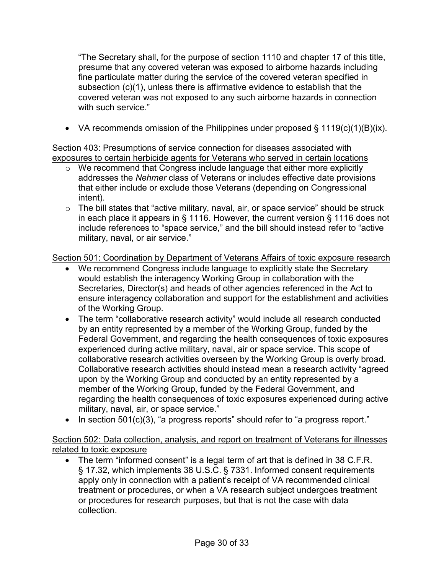"The Secretary shall, for the purpose of section 1110 and chapter 17 of this title, presume that any covered veteran was exposed to airborne hazards including fine particulate matter during the service of the covered veteran specified in subsection (c)(1), unless there is affirmative evidence to establish that the covered veteran was not exposed to any such airborne hazards in connection with such service."

• VA recommends omission of the Philippines under proposed  $\S$  1119(c)(1)(B)(ix).

Section 403: Presumptions of service connection for diseases associated with exposures to certain herbicide agents for Veterans who served in certain locations

- o We recommend that Congress include language that either more explicitly addresses the *Nehmer* class of Veterans or includes effective date provisions that either include or exclude those Veterans (depending on Congressional intent).
- o The bill states that "active military, naval, air, or space service" should be struck in each place it appears in § 1116. However, the current version § 1116 does not include references to "space service," and the bill should instead refer to "active military, naval, or air service."

Section 501: Coordination by Department of Veterans Affairs of toxic exposure research

- We recommend Congress include language to explicitly state the Secretary would establish the interagency Working Group in collaboration with the Secretaries, Director(s) and heads of other agencies referenced in the Act to ensure interagency collaboration and support for the establishment and activities of the Working Group.
- The term "collaborative research activity" would include all research conducted by an entity represented by a member of the Working Group, funded by the Federal Government, and regarding the health consequences of toxic exposures experienced during active military, naval, air or space service. This scope of collaborative research activities overseen by the Working Group is overly broad. Collaborative research activities should instead mean a research activity "agreed upon by the Working Group and conducted by an entity represented by a member of the Working Group, funded by the Federal Government, and regarding the health consequences of toxic exposures experienced during active military, naval, air, or space service."
- In section 501(c)(3), "a progress reports" should refer to "a progress report."

Section 502: Data collection, analysis, and report on treatment of Veterans for illnesses related to toxic exposure

• The term "informed consent" is a legal term of art that is defined in 38 C.F.R. § 17.32, which implements 38 U.S.C. § 7331. Informed consent requirements apply only in connection with a patient's receipt of VA recommended clinical treatment or procedures, or when a VA research subject undergoes treatment or procedures for research purposes, but that is not the case with data collection.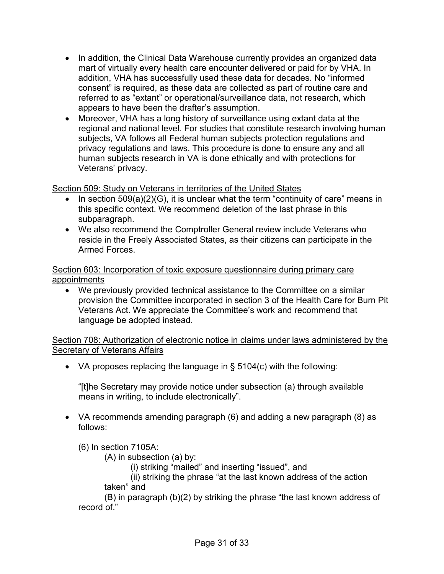- In addition, the Clinical Data Warehouse currently provides an organized data mart of virtually every health care encounter delivered or paid for by VHA. In addition, VHA has successfully used these data for decades. No "informed consent" is required, as these data are collected as part of routine care and referred to as "extant" or operational/surveillance data, not research, which appears to have been the drafter's assumption.
- Moreover, VHA has a long history of surveillance using extant data at the regional and national level. For studies that constitute research involving human subjects, VA follows all Federal human subjects protection regulations and privacy regulations and laws. This procedure is done to ensure any and all human subjects research in VA is done ethically and with protections for Veterans' privacy.

# Section 509: Study on Veterans in territories of the United States

- In section 509(a)(2)(G), it is unclear what the term "continuity of care" means in this specific context. We recommend deletion of the last phrase in this subparagraph.
- We also recommend the Comptroller General review include Veterans who reside in the Freely Associated States, as their citizens can participate in the Armed Forces.

Section 603: Incorporation of toxic exposure questionnaire during primary care appointments

• We previously provided technical assistance to the Committee on a similar provision the Committee incorporated in section 3 of the Health Care for Burn Pit Veterans Act. We appreciate the Committee's work and recommend that language be adopted instead.

Section 708: Authorization of electronic notice in claims under laws administered by the Secretary of Veterans Affairs

• VA proposes replacing the language in § 5104(c) with the following:

"[t]he Secretary may provide notice under subsection (a) through available means in writing, to include electronically".

• VA recommends amending paragraph (6) and adding a new paragraph (8) as follows:

(6) In section 7105A:

(A) in subsection (a) by:

(i) striking "mailed" and inserting "issued", and

(ii) striking the phrase "at the last known address of the action taken" and

(B) in paragraph (b)(2) by striking the phrase "the last known address of record of."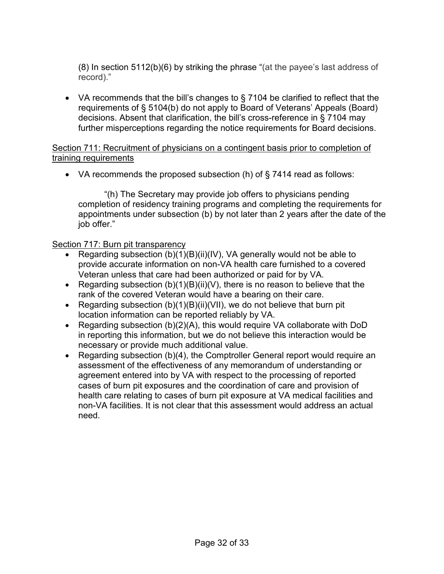(8) In section 5112(b)(6) by striking the phrase "(at the payee's last address of record)."

• VA recommends that the bill's changes to § 7104 be clarified to reflect that the requirements of § 5104(b) do not apply to Board of Veterans' Appeals (Board) decisions. Absent that clarification, the bill's cross-reference in § 7104 may further misperceptions regarding the notice requirements for Board decisions.

#### Section 711: Recruitment of physicians on a contingent basis prior to completion of training requirements

• VA recommends the proposed subsection (h) of  $\S$  7414 read as follows:

"(h) The Secretary may provide job offers to physicians pending completion of residency training programs and completing the requirements for appointments under subsection (b) by not later than 2 years after the date of the job offer."

#### Section 717: Burn pit transparency

- Regarding subsection (b)(1)(B)(ii)(IV), VA generally would not be able to provide accurate information on non-VA health care furnished to a covered Veteran unless that care had been authorized or paid for by VA.
- Regarding subsection  $(b)(1)(B)(ii)(V)$ , there is no reason to believe that the rank of the covered Veteran would have a bearing on their care.
- Regarding subsection  $(b)(1)(B)(ii)(VII)$ , we do not believe that burn pit location information can be reported reliably by VA.
- Regarding subsection (b)(2)(A), this would require VA collaborate with DoD in reporting this information, but we do not believe this interaction would be necessary or provide much additional value.
- Regarding subsection (b)(4), the Comptroller General report would require an assessment of the effectiveness of any memorandum of understanding or agreement entered into by VA with respect to the processing of reported cases of burn pit exposures and the coordination of care and provision of health care relating to cases of burn pit exposure at VA medical facilities and non-VA facilities. It is not clear that this assessment would address an actual need.